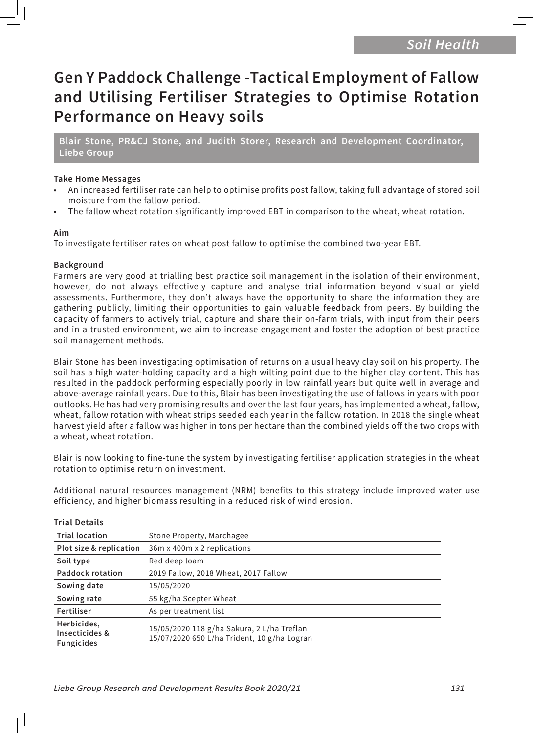# **Gen Y Paddock Challenge -Tactical Employment of Fallow and Utilising Fertiliser Strategies to Optimise Rotation Performance on Heavy soils**

**Blair Stone, PR&CJ Stone, and Judith Storer, Research and Development Coordinator, Liebe Group**

#### **Take Home Messages**

- An increased fertiliser rate can help to optimise profits post fallow, taking full advantage of stored soil moisture from the fallow period.
- The fallow wheat rotation significantly improved EBT in comparison to the wheat, wheat rotation.

#### **Aim**

To investigate fertiliser rates on wheat post fallow to optimise the combined two-year EBT.

### **Background**

Farmers are very good at trialling best practice soil management in the isolation of their environment, however, do not always effectively capture and analyse trial information beyond visual or yield assessments. Furthermore, they don't always have the opportunity to share the information they are gathering publicly, limiting their opportunities to gain valuable feedback from peers. By building the capacity of farmers to actively trial, capture and share their on-farm trials, with input from their peers and in a trusted environment, we aim to increase engagement and foster the adoption of best practice soil management methods.

Blair Stone has been investigating optimisation of returns on a usual heavy clay soil on his property. The soil has a high water-holding capacity and a high wilting point due to the higher clay content. This has resulted in the paddock performing especially poorly in low rainfall years but quite well in average and above-average rainfall years. Due to this, Blair has been investigating the use of fallows in years with poor outlooks. He has had very promising results and over the last four years, has implemented a wheat, fallow, wheat, fallow rotation with wheat strips seeded each year in the fallow rotation. In 2018 the single wheat harvest yield after a fallow was higher in tons per hectare than the combined yields off the two crops with a wheat, wheat rotation.

Blair is now looking to fine-tune the system by investigating fertiliser application strategies in the wheat rotation to optimise return on investment.

Additional natural resources management (NRM) benefits to this strategy include improved water use efficiency, and higher biomass resulting in a reduced risk of wind erosion.

| <b>Trial location</b>                              | Stone Property, Marchagee                                                                 |
|----------------------------------------------------|-------------------------------------------------------------------------------------------|
| Plot size & replication                            | 36m x 400m x 2 replications                                                               |
| Soil type                                          | Red deep loam                                                                             |
| <b>Paddock rotation</b>                            | 2019 Fallow, 2018 Wheat, 2017 Fallow                                                      |
| Sowing date                                        | 15/05/2020                                                                                |
| Sowing rate                                        | 55 kg/ha Scepter Wheat                                                                    |
| Fertiliser                                         | As per treatment list                                                                     |
| Herbicides,<br>Insecticides &<br><b>Fungicides</b> | 15/05/2020 118 g/ha Sakura, 2 L/ha Treflan<br>15/07/2020 650 L/ha Trident, 10 g/ha Logran |

#### **Trial Details**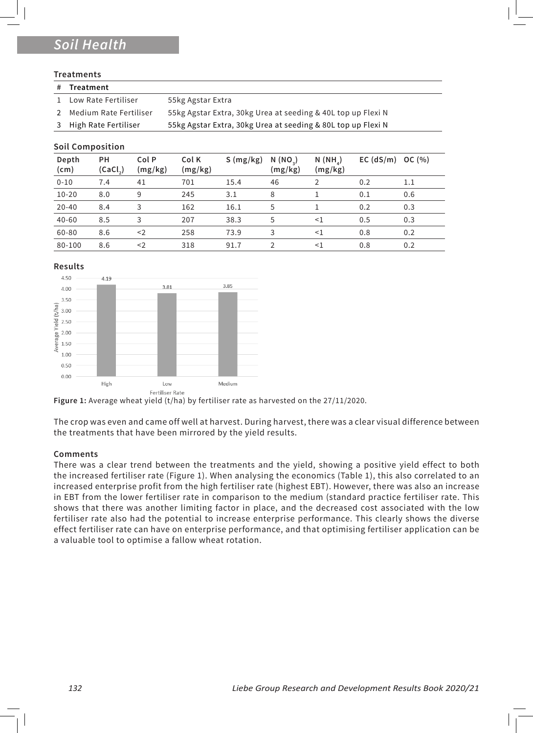## *Soil Health*

#### **Treatments**

- **# Treatment** 1 Low Rate Fertiliser 55kg Agstar Extra 2 Medium Rate Fertiliser 55kg Agstar Extra, 30kg Urea at seeding & 40L top up Flexi N
- 3 High Rate Fertiliser 55kg Agstar Extra, 30kg Urea at seeding & 80L top up Flexi N

#### **Soil Composition**

| Depth<br>$\mathsf{(cm)}$ | PН<br>(CaCl <sub>2</sub> ) | Col P<br>(mg/kg) | Col K<br>(mg/kg) | S(mg/kg) | N (NO <sub>2</sub> )<br>(mg/kg) | $N(NH_A)$<br>(mg/kg) | $EC$ (dS/m) | OC $(% )$ |
|--------------------------|----------------------------|------------------|------------------|----------|---------------------------------|----------------------|-------------|-----------|
| $0 - 10$                 | 7.4                        | 41               | 701              | 15.4     | 46                              |                      | 0.2         | 1.1       |
| $10 - 20$                | 8.0                        | 9                | 245              | 3.1      | 8                               |                      | 0.1         | 0.6       |
| $20 - 40$                | 8.4                        | 3                | 162              | 16.1     | 5                               |                      | 0.2         | 0.3       |
| $40 - 60$                | 8.5                        | 3                | 207              | 38.3     | 5                               | <1                   | 0.5         | 0.3       |
| 60-80                    | 8.6                        | $<$ 2            | 258              | 73.9     | 3                               | $<$ 1                | 0.8         | 0.2       |
| 80-100                   | 8.6                        | $<$ 2            | 318              | 91.7     |                                 | $<$ 1                | 0.8         | 0.2       |





**Figure 1:** Average wheat yield (t/ha) by fertiliser rate as harvested on the 27/11/2020.

The crop was even and came off well at harvest. During harvest, there was a clear visual difference between the treatments that have been mirrored by the yield results.

#### **Comments**

There was a clear trend between the treatments and the yield, showing a positive yield effect to both the increased fertiliser rate (Figure 1). When analysing the economics (Table 1), this also correlated to an increased enterprise profit from the high fertiliser rate (highest EBT). However, there was also an increase in EBT from the lower fertiliser rate in comparison to the medium (standard practice fertiliser rate. This shows that there was another limiting factor in place, and the decreased cost associated with the low fertiliser rate also had the potential to increase enterprise performance. This clearly shows the diverse effect fertiliser rate can have on enterprise performance, and that optimising fertiliser application can be a valuable tool to optimise a fallow wheat rotation.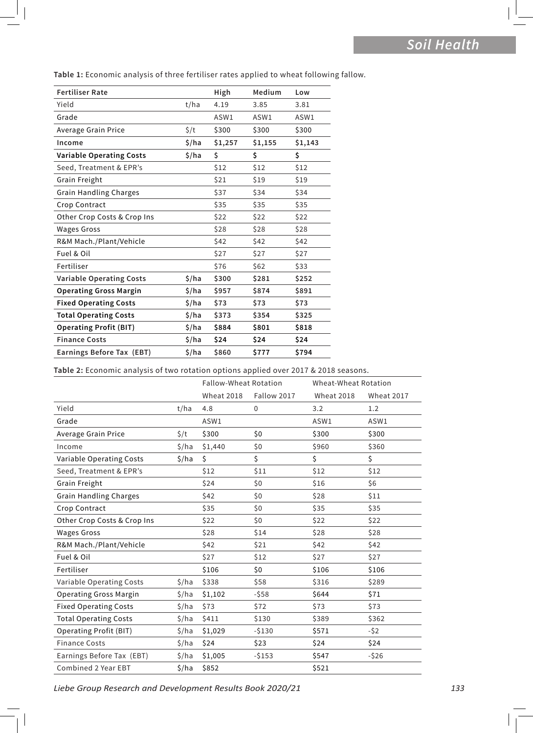| <b>Fertiliser Rate</b>          |           | High    | Medium  | Low     |
|---------------------------------|-----------|---------|---------|---------|
| Yield                           | t/ha      | 4.19    | 3.85    | 3.81    |
| Grade                           |           | ASW1    | ASW1    | ASW1    |
| Average Grain Price             | $\zeta/t$ | \$300   | \$300   | \$300   |
| Income                          | \$/ha     | \$1,257 | \$1,155 | \$1,143 |
| <b>Variable Operating Costs</b> | \$/ha     | \$      | \$      | \$      |
| Seed, Treatment & EPR's         |           | \$12    | \$12    | \$12    |
| Grain Freight                   |           | \$21    | \$19    | \$19    |
| <b>Grain Handling Charges</b>   |           | \$37    | \$34    | \$34    |
| Crop Contract                   |           | \$35    | \$35    | \$35    |
| Other Crop Costs & Crop Ins     |           | \$22    | \$22    | \$22    |
| <b>Wages Gross</b>              |           | \$28    | \$28    | \$28    |
| R&M Mach./Plant/Vehicle         |           | \$42    | \$42    | \$42    |
| Fuel & Oil                      |           | \$27    | \$27    | \$27    |
| Fertiliser                      |           | \$76    | \$62    | \$33    |
| <b>Variable Operating Costs</b> | \$/ha     | \$300   | \$281   | \$252   |
| <b>Operating Gross Margin</b>   | \$/ha     | \$957   | \$874   | \$891   |
| <b>Fixed Operating Costs</b>    | \$/ha     | \$73    | \$73    | \$73    |
| <b>Total Operating Costs</b>    | \$/ha     | \$373   | \$354   | \$325   |
| <b>Operating Profit (BIT)</b>   | \$/ha     | \$884   | \$801   | \$818   |
| <b>Finance Costs</b>            | \$/ha     | \$24    | \$24    | \$24    |
| Earnings Before Tax (EBT)       | \$/ha     | \$860   | \$777   | \$794   |

**Table 1:** Economic analysis of three fertiliser rates applied to wheat following fallow.

**Table 2:** Economic analysis of two rotation options applied over 2017 & 2018 seasons.

|                               |           | <b>Fallow-Wheat Rotation</b> |             | Wheat-Wheat Rotation |            |
|-------------------------------|-----------|------------------------------|-------------|----------------------|------------|
|                               |           | <b>Wheat 2018</b>            | Fallow 2017 | <b>Wheat 2018</b>    | Wheat 2017 |
| Yield                         | t/ha      | 4.8                          | 0           | 3.2                  | 1.2        |
| Grade                         |           | ASW1                         |             | ASW1                 | ASW1       |
| Average Grain Price           | $\zeta/t$ | \$300                        | \$0         | \$300                | \$300      |
| Income                        | \$/ha     | \$1,440                      | \$0         | \$960                | \$360      |
| Variable Operating Costs      | \$/ha     | \$                           | \$          | \$                   | \$         |
| Seed, Treatment & EPR's       |           | \$12                         | \$11        | \$12                 | \$12       |
| Grain Freight                 |           | \$24                         | \$0         | \$16                 | \$6        |
| <b>Grain Handling Charges</b> |           | \$42                         | \$0         | \$28                 | \$11       |
| Crop Contract                 |           | \$35                         | \$0         | \$35                 | \$35       |
| Other Crop Costs & Crop Ins   |           | \$22                         | \$0         | \$22                 | \$22       |
| <b>Wages Gross</b>            |           | \$28                         | \$14        | \$28                 | \$28       |
| R&M Mach./Plant/Vehicle       |           | \$42                         | \$21        | \$42                 | \$42       |
| Fuel & Oil                    |           | \$27                         | \$12        | \$27                 | \$27       |
| Fertiliser                    |           | \$106                        | \$0         | \$106                | \$106      |
| Variable Operating Costs      | \$/ha     | \$338                        | \$58        | \$316                | \$289      |
| <b>Operating Gross Margin</b> | \$/ha     | \$1,102                      | $-558$      | \$644                | \$71       |
| <b>Fixed Operating Costs</b>  | \$/ha     | \$73                         | \$72        | \$73                 | \$73       |
| <b>Total Operating Costs</b>  | \$/ha     | \$411                        | \$130       | \$389                | \$362      |
| <b>Operating Profit (BIT)</b> | \$/ha     | \$1,029                      | $-5130$     | \$571                | $-52$      |
| <b>Finance Costs</b>          | \$/ha     | \$24                         | \$23        | \$24                 | \$24       |
| Earnings Before Tax (EBT)     | \$/ha     | \$1,005                      | $-5153$     | \$547                | $-526$     |
| Combined 2 Year EBT           | \$/ha     | \$852                        |             | \$521                |            |

*Liebe Group Research and Development Results Book 2020/21 133*